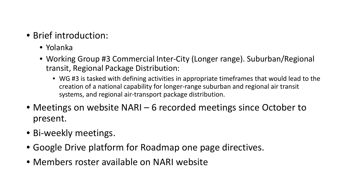- Brief introduction:
	- Yolanka
	- Working Group #3 Commercial Inter-City (Longer range). Suburban/Regional transit, Regional Package Distribution:
		- WG #3 is tasked with defining activities in appropriate timeframes that would lead to the creation of a national capability for longer-range suburban and regional air transit systems, and regional air-transport package distribution.
- Meetings on website NARI 6 recorded meetings since October to present.
- Bi-weekly meetings.
- Google Drive platform for Roadmap one page directives.
- Members roster available on NARI website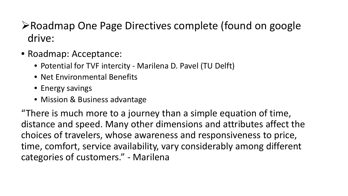## **≻Roadmap One Page Directives complete (found on google** drive:

- Roadmap: Acceptance:
	- Potential for TVF intercity Marilena D. Pavel (TU Delft)
	- Net Environmental Benefits
	- Energy savings
	- Mission & Business advantage

"There is much more to a journey than a simple equation of time, distance and speed. Many other dimensions and attributes affect the choices of travelers, whose awareness and responsiveness to price, time, comfort, service availability, vary considerably among different categories of customers." - Marilena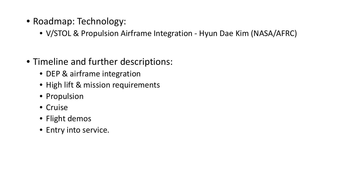- Roadmap: Technology:
	- V/STOL & Propulsion Airframe Integration Hyun Dae Kim (NASA/AFRC)
- Timeline and further descriptions:
	- DEP & airframe integration
	- High lift & mission requirements
	- Propulsion
	- Cruise
	- Flight demos
	- Entry into service.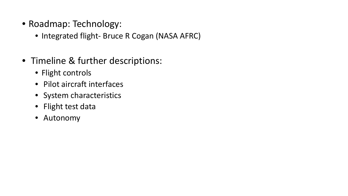- Roadmap: Technology:
	- Integrated flight- Bruce R Cogan (NASA AFRC)
- Timeline & further descriptions:
	- Flight controls
	- Pilot aircraft interfaces
	- System characteristics
	- Flight test data
	- Autonomy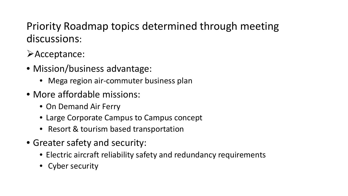Priority Roadmap topics determined through meeting discussions:

Acceptance:

- Mission/business advantage:
	- Mega region air-commuter business plan
- More affordable missions:
	- On Demand Air Ferry
	- Large Corporate Campus to Campus concept
	- Resort & tourism based transportation
- Greater safety and security:
	- Electric aircraft reliability safety and redundancy requirements
	- Cyber security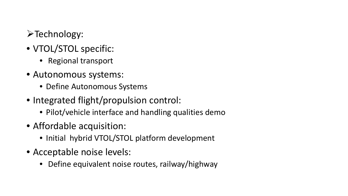## >Technology:

- VTOL/STOL specific:
	- Regional transport
- Autonomous systems:
	- Define Autonomous Systems
- Integrated flight/propulsion control:
	- Pilot/vehicle interface and handling qualities demo
- Affordable acquisition:
	- Initial hybrid VTOL/STOL platform development
- Acceptable noise levels:
	- Define equivalent noise routes, railway/highway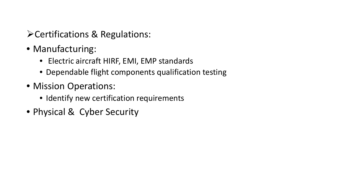- Certifications & Regulations:
- Manufacturing:
	- Electric aircraft HIRF, EMI, EMP standards
	- Dependable flight components qualification testing
- Mission Operations:
	- Identify new certification requirements
- Physical & Cyber Security